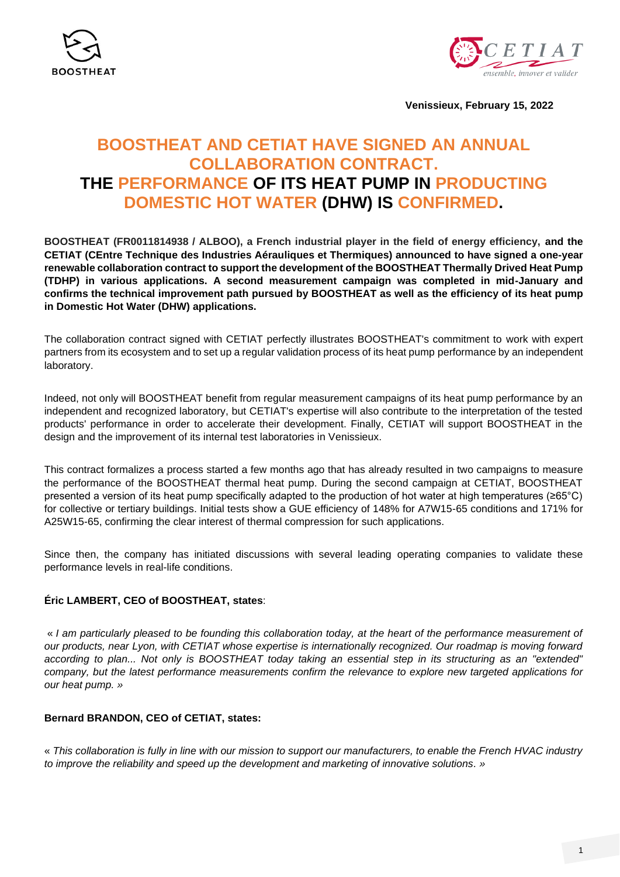



**Venissieux, February 15, 2022**

# **BOOSTHEAT AND CETIAT HAVE SIGNED AN ANNUAL COLLABORATION CONTRACT. THE PERFORMANCE OF ITS HEAT PUMP IN PRODUCTING DOMESTIC HOT WATER (DHW) IS CONFIRMED.**

**BOOSTHEAT (FR0011814938 / ALBOO), a French industrial player in the field of energy efficiency, and the CETIAT (CEntre Technique des Industries Aérauliques et Thermiques) announced to have signed a one-year renewable collaboration contract to support the development of the BOOSTHEAT Thermally Drived Heat Pump (TDHP) in various applications. A second measurement campaign was completed in mid-January and confirms the technical improvement path pursued by BOOSTHEAT as well as the efficiency of its heat pump in Domestic Hot Water (DHW) applications.**

The collaboration contract signed with CETIAT perfectly illustrates BOOSTHEAT's commitment to work with expert partners from its ecosystem and to set up a regular validation process of its heat pump performance by an independent laboratory.

Indeed, not only will BOOSTHEAT benefit from regular measurement campaigns of its heat pump performance by an independent and recognized laboratory, but CETIAT's expertise will also contribute to the interpretation of the tested products' performance in order to accelerate their development. Finally, CETIAT will support BOOSTHEAT in the design and the improvement of its internal test laboratories in Venissieux.

This contract formalizes a process started a few months ago that has already resulted in two campaigns to measure the performance of the BOOSTHEAT thermal heat pump. During the second campaign at CETIAT, BOOSTHEAT presented a version of its heat pump specifically adapted to the production of hot water at high temperatures (≥65°C) for collective or tertiary buildings. Initial tests show a GUE efficiency of 148% for A7W15-65 conditions and 171% for A25W15-65, confirming the clear interest of thermal compression for such applications.

Since then, the company has initiated discussions with several leading operating companies to validate these performance levels in real-life conditions.

## **Éric LAMBERT, CEO of BOOSTHEAT, states**:

« *I am particularly pleased to be founding this collaboration today, at the heart of the performance measurement of our products, near Lyon, with CETIAT whose expertise is internationally recognized. Our roadmap is moving forward according to plan... Not only is BOOSTHEAT today taking an essential step in its structuring as an "extended" company, but the latest performance measurements confirm the relevance to explore new targeted applications for our heat pump. »*

### **Bernard BRANDON, CEO of CETIAT, states:**

« *This collaboration is fully in line with our mission to support our manufacturers, to enable the French HVAC industry to improve the reliability and speed up the development and marketing of innovative solutions. »*